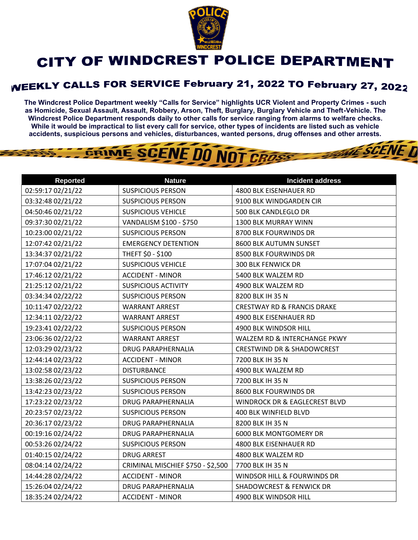

## **CITY OF WINDCREST POLICE DEPARTMENT**

## **WEEKLY CALLS FOR SERVICE February 21, 2022 TO February 27, 2022**

**The Windcrest Police Department weekly "Calls for Service" highlights UCR Violent and Property Crimes - such as Homicide, Sexual Assault, Assault, Robbery, Arson, Theft, Burglary, Burglary Vehicle and Theft-Vehicle. The Windcrest Police Department responds daily to other calls for service ranging from alarms to welfare checks. While it would be impractical to list every call for service, other types of incidents are listed such as vehicle accidents, suspicious persons and vehicles, disturbances, wanted persons, drug offenses and other arrests.** 

**THE SCENE D** 

## GRIME SCENE DO NOT CROSS

| <b>Reported</b>   | <b>Nature</b>                     | <b>Incident address</b>                |
|-------------------|-----------------------------------|----------------------------------------|
| 02:59:17 02/21/22 | <b>SUSPICIOUS PERSON</b>          | 4800 BLK EISENHAUER RD                 |
| 03:32:48 02/21/22 | <b>SUSPICIOUS PERSON</b>          | 9100 BLK WINDGARDEN CIR                |
| 04:50:46 02/21/22 | <b>SUSPICIOUS VEHICLE</b>         | 500 BLK CANDLEGLO DR                   |
| 09:37:30 02/21/22 | VANDALISM \$100 - \$750           | 1300 BLK MURRAY WINN                   |
| 10:23:00 02/21/22 | <b>SUSPICIOUS PERSON</b>          | 8700 BLK FOURWINDS DR                  |
| 12:07:42 02/21/22 | <b>EMERGENCY DETENTION</b>        | 8600 BLK AUTUMN SUNSET                 |
| 13:34:37 02/21/22 | THEFT \$0 - \$100                 | 8500 BLK FOURWINDS DR                  |
| 17:07:04 02/21/22 | <b>SUSPICIOUS VEHICLE</b>         | 300 BLK FENWICK DR                     |
| 17:46:12 02/21/22 | <b>ACCIDENT - MINOR</b>           | 5400 BLK WALZEM RD                     |
| 21:25:12 02/21/22 | <b>SUSPICIOUS ACTIVITY</b>        | 4900 BLK WALZEM RD                     |
| 03:34:34 02/22/22 | <b>SUSPICIOUS PERSON</b>          | 8200 BLK IH 35 N                       |
| 10:11:47 02/22/22 | <b>WARRANT ARREST</b>             | <b>CRESTWAY RD &amp; FRANCIS DRAKE</b> |
| 12:34:11 02/22/22 | <b>WARRANT ARREST</b>             | 4900 BLK EISENHAUER RD                 |
| 19:23:41 02/22/22 | <b>SUSPICIOUS PERSON</b>          | 4900 BLK WINDSOR HILL                  |
| 23:06:36 02/22/22 | <b>WARRANT ARREST</b>             | WALZEM RD & INTERCHANGE PKWY           |
| 12:03:29 02/23/22 | <b>DRUG PARAPHERNALIA</b>         | <b>CRESTWIND DR &amp; SHADOWCREST</b>  |
| 12:44:14 02/23/22 | <b>ACCIDENT - MINOR</b>           | 7200 BLK IH 35 N                       |
| 13:02:58 02/23/22 | <b>DISTURBANCE</b>                | 4900 BLK WALZEM RD                     |
| 13:38:26 02/23/22 | <b>SUSPICIOUS PERSON</b>          | 7200 BLK IH 35 N                       |
| 13:42:23 02/23/22 | <b>SUSPICIOUS PERSON</b>          | 8600 BLK FOURWINDS DR                  |
| 17:23:22 02/23/22 | DRUG PARAPHERNALIA                | WINDROCK DR & EAGLECREST BLVD          |
| 20:23:57 02/23/22 | <b>SUSPICIOUS PERSON</b>          | 400 BLK WINFIELD BLVD                  |
| 20:36:17 02/23/22 | <b>DRUG PARAPHERNALIA</b>         | 8200 BLK IH 35 N                       |
| 00:19:16 02/24/22 | <b>DRUG PARAPHERNALIA</b>         | 6000 BLK MONTGOMERY DR                 |
| 00:53:26 02/24/22 | <b>SUSPICIOUS PERSON</b>          | 4800 BLK EISENHAUER RD                 |
| 01:40:15 02/24/22 | <b>DRUG ARREST</b>                | 4800 BLK WALZEM RD                     |
| 08:04:14 02/24/22 | CRIMINAL MISCHIEF \$750 - \$2,500 | 7700 BLK IH 35 N                       |
| 14:44:28 02/24/22 | <b>ACCIDENT - MINOR</b>           | WINDSOR HILL & FOURWINDS DR            |
| 15:26:04 02/24/22 | <b>DRUG PARAPHERNALIA</b>         | <b>SHADOWCREST &amp; FENWICK DR</b>    |
| 18:35:24 02/24/22 | <b>ACCIDENT - MINOR</b>           | 4900 BLK WINDSOR HILL                  |